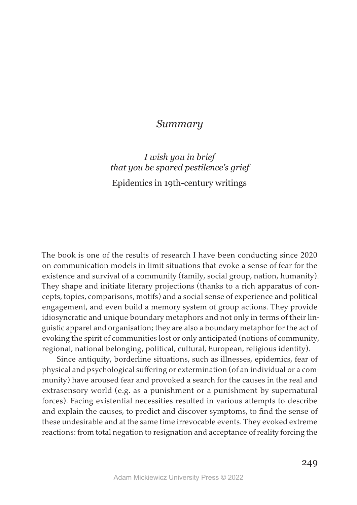## *Summary*

*I wish you in brief that you be spared pestilence's grief*  Epidemics in 19th-century writings

The book is one of the results of research I have been conducting since 2020 on communication models in limit situations that evoke a sense of fear for the existence and survival of a community (family, social group, nation, humanity). They shape and initiate literary projections (thanks to a rich apparatus of concepts, topics, comparisons, motifs) and a social sense of experience and political engagement, and even build a memory system of group actions. They provide idiosyncratic and unique boundary metaphors and not only in terms of their linguistic apparel and organisation; they are also a boundary metaphor for the act of evoking the spirit of communities lost or only anticipated (notions of community, regional, national belonging, political, cultural, European, religious identity).

Since antiquity, borderline situations, such as illnesses, epidemics, fear of physical and psychological suffering or extermination (of an individual or a community) have aroused fear and provoked a search for the causes in the real and extrasensory world (e.g. as a punishment or a punishment by supernatural forces). Facing existential necessities resulted in various attempts to describe and explain the causes, to predict and discover symptoms, to find the sense of these undesirable and at the same time irrevocable events. They evoked extreme reactions: from total negation to resignation and acceptance of reality forcing the